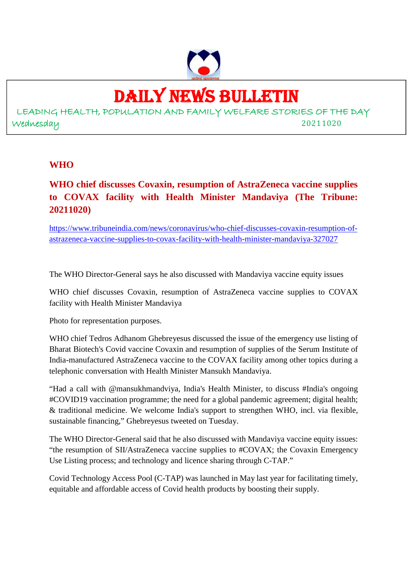

# DAILY NEWS BULLETIN

LEADING HEALTH, POPULATION AND FAMILY WELFARE STORIES OF THE DAY Wednesday 20211020

#### **WHO**

## **WHO chief discusses Covaxin, resumption of AstraZeneca vaccine supplies to COVAX facility with Health Minister Mandaviya (The Tribune: 20211020)**

https://www.tribuneindia.com/news/coronavirus/who-chief-discusses-covaxin-resumption-ofastrazeneca-vaccine-supplies-to-covax-facility-with-health-minister-mandaviya-327027

The WHO Director-General says he also discussed with Mandaviya vaccine equity issues

WHO chief discusses Covaxin, resumption of AstraZeneca vaccine supplies to COVAX facility with Health Minister Mandaviya

Photo for representation purposes.

WHO chief Tedros Adhanom Ghebreyesus discussed the issue of the emergency use listing of Bharat Biotech's Covid vaccine Covaxin and resumption of supplies of the Serum Institute of India-manufactured AstraZeneca vaccine to the COVAX facility among other topics during a telephonic conversation with Health Minister Mansukh Mandaviya.

"Had a call with @mansukhmandviya, India's Health Minister, to discuss #India's ongoing #COVID19 vaccination programme; the need for a global pandemic agreement; digital health; & traditional medicine. We welcome India's support to strengthen WHO, incl. via flexible, sustainable financing," Ghebreyesus tweeted on Tuesday.

The WHO Director-General said that he also discussed with Mandaviya vaccine equity issues: "the resumption of SII/AstraZeneca vaccine supplies to #COVAX; the Covaxin Emergency Use Listing process; and technology and licence sharing through C-TAP."

Covid Technology Access Pool (C-TAP) was launched in May last year for facilitating timely, equitable and affordable access of Covid health products by boosting their supply.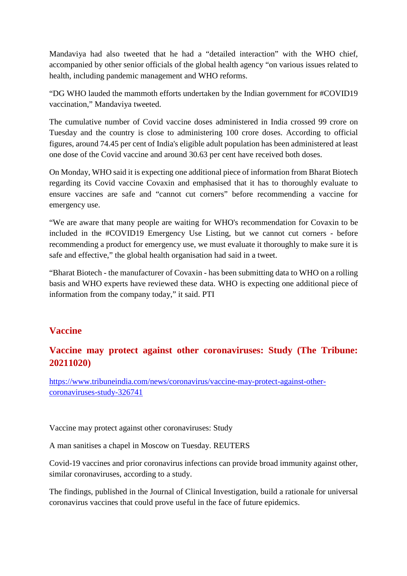Mandaviya had also tweeted that he had a "detailed interaction" with the WHO chief, accompanied by other senior officials of the global health agency "on various issues related to health, including pandemic management and WHO reforms.

"DG WHO lauded the mammoth efforts undertaken by the Indian government for #COVID19 vaccination," Mandaviya tweeted.

The cumulative number of Covid vaccine doses administered in India crossed 99 crore on Tuesday and the country is close to administering 100 crore doses. According to official figures, around 74.45 per cent of India's eligible adult population has been administered at least one dose of the Covid vaccine and around 30.63 per cent have received both doses.

On Monday, WHO said it is expecting one additional piece of information from Bharat Biotech regarding its Covid vaccine Covaxin and emphasised that it has to thoroughly evaluate to ensure vaccines are safe and "cannot cut corners" before recommending a vaccine for emergency use.

"We are aware that many people are waiting for WHO's recommendation for Covaxin to be included in the #COVID19 Emergency Use Listing, but we cannot cut corners - before recommending a product for emergency use, we must evaluate it thoroughly to make sure it is safe and effective," the global health organisation had said in a tweet.

"Bharat Biotech - the manufacturer of Covaxin - has been submitting data to WHO on a rolling basis and WHO experts have reviewed these data. WHO is expecting one additional piece of information from the company today," it said. PTI

## **Vaccine**

## **Vaccine may protect against other coronaviruses: Study (The Tribune: 20211020)**

https://www.tribuneindia.com/news/coronavirus/vaccine-may-protect-against-othercoronaviruses-study-326741

Vaccine may protect against other coronaviruses: Study

A man sanitises a chapel in Moscow on Tuesday. REUTERS

Covid-19 vaccines and prior coronavirus infections can provide broad immunity against other, similar coronaviruses, according to a study.

The findings, published in the Journal of Clinical Investigation, build a rationale for universal coronavirus vaccines that could prove useful in the face of future epidemics.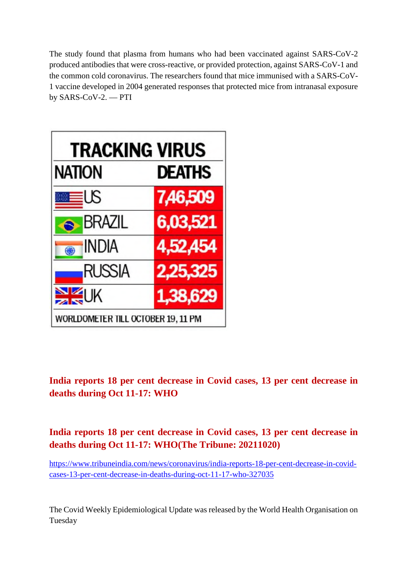The study found that plasma from humans who had been vaccinated against SARS-CoV-2 produced antibodies that were cross-reactive, or provided protection, against SARS-CoV-1 and the common cold coronavirus. The researchers found that mice immunised with a SARS-CoV-1 vaccine developed in 2004 generated responses that protected mice from intranasal exposure by SARS-CoV-2. — PTI



# **India reports 18 per cent decrease in Covid cases, 13 per cent decrease in deaths during Oct 11-17: WHO**

# **India reports 18 per cent decrease in Covid cases, 13 per cent decrease in deaths during Oct 11-17: WHO(The Tribune: 20211020)**

https://www.tribuneindia.com/news/coronavirus/india-reports-18-per-cent-decrease-in-covidcases-13-per-cent-decrease-in-deaths-during-oct-11-17-who-327035

The Covid Weekly Epidemiological Update was released by the World Health Organisation on Tuesday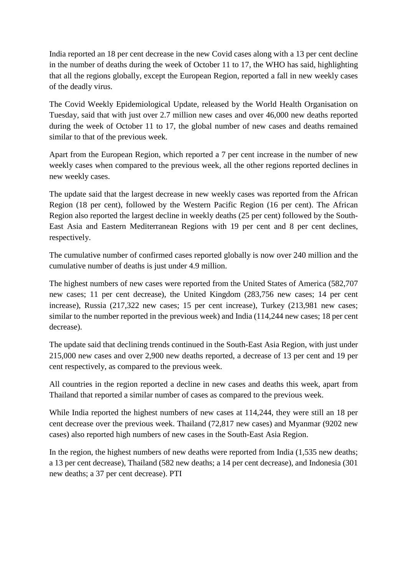India reported an 18 per cent decrease in the new Covid cases along with a 13 per cent decline in the number of deaths during the week of October 11 to 17, the WHO has said, highlighting that all the regions globally, except the European Region, reported a fall in new weekly cases of the deadly virus.

The Covid Weekly Epidemiological Update, released by the World Health Organisation on Tuesday, said that with just over 2.7 million new cases and over 46,000 new deaths reported during the week of October 11 to 17, the global number of new cases and deaths remained similar to that of the previous week.

Apart from the European Region, which reported a 7 per cent increase in the number of new weekly cases when compared to the previous week, all the other regions reported declines in new weekly cases.

The update said that the largest decrease in new weekly cases was reported from the African Region (18 per cent), followed by the Western Pacific Region (16 per cent). The African Region also reported the largest decline in weekly deaths (25 per cent) followed by the South-East Asia and Eastern Mediterranean Regions with 19 per cent and 8 per cent declines, respectively.

The cumulative number of confirmed cases reported globally is now over 240 million and the cumulative number of deaths is just under 4.9 million.

The highest numbers of new cases were reported from the United States of America (582,707 new cases; 11 per cent decrease), the United Kingdom (283,756 new cases; 14 per cent increase), Russia (217,322 new cases; 15 per cent increase), Turkey (213,981 new cases; similar to the number reported in the previous week) and India (114,244 new cases; 18 per cent decrease).

The update said that declining trends continued in the South-East Asia Region, with just under 215,000 new cases and over 2,900 new deaths reported, a decrease of 13 per cent and 19 per cent respectively, as compared to the previous week.

All countries in the region reported a decline in new cases and deaths this week, apart from Thailand that reported a similar number of cases as compared to the previous week.

While India reported the highest numbers of new cases at 114,244, they were still an 18 per cent decrease over the previous week. Thailand (72,817 new cases) and Myanmar (9202 new cases) also reported high numbers of new cases in the South-East Asia Region.

In the region, the highest numbers of new deaths were reported from India  $(1,535)$  new deaths; a 13 per cent decrease), Thailand (582 new deaths; a 14 per cent decrease), and Indonesia (301 new deaths; a 37 per cent decrease). PTI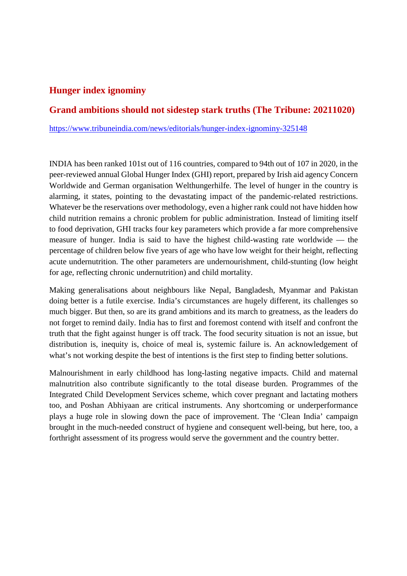#### **Hunger index ignominy**

#### **Grand ambitions should not sidestep stark truths (The Tribune: 20211020)**

https://www.tribuneindia.com/news/editorials/hunger-index-ignominy-325148

INDIA has been ranked 101st out of 116 countries, compared to 94th out of 107 in 2020, in the peer-reviewed annual Global Hunger Index (GHI) report, prepared by Irish aid agency Concern Worldwide and German organisation Welthungerhilfe. The level of hunger in the country is alarming, it states, pointing to the devastating impact of the pandemic-related restrictions. Whatever be the reservations over methodology, even a higher rank could not have hidden how child nutrition remains a chronic problem for public administration. Instead of limiting itself to food deprivation, GHI tracks four key parameters which provide a far more comprehensive measure of hunger. India is said to have the highest child-wasting rate worldwide — the percentage of children below five years of age who have low weight for their height, reflecting acute undernutrition. The other parameters are undernourishment, child-stunting (low height for age, reflecting chronic undernutrition) and child mortality.

Making generalisations about neighbours like Nepal, Bangladesh, Myanmar and Pakistan doing better is a futile exercise. India's circumstances are hugely different, its challenges so much bigger. But then, so are its grand ambitions and its march to greatness, as the leaders do not forget to remind daily. India has to first and foremost contend with itself and confront the truth that the fight against hunger is off track. The food security situation is not an issue, but distribution is, inequity is, choice of meal is, systemic failure is. An acknowledgement of what's not working despite the best of intentions is the first step to finding better solutions.

Malnourishment in early childhood has long-lasting negative impacts. Child and maternal malnutrition also contribute significantly to the total disease burden. Programmes of the Integrated Child Development Services scheme, which cover pregnant and lactating mothers too, and Poshan Abhiyaan are critical instruments. Any shortcoming or underperformance plays a huge role in slowing down the pace of improvement. The 'Clean India' campaign brought in the much-needed construct of hygiene and consequent well-being, but here, too, a forthright assessment of its progress would serve the government and the country better.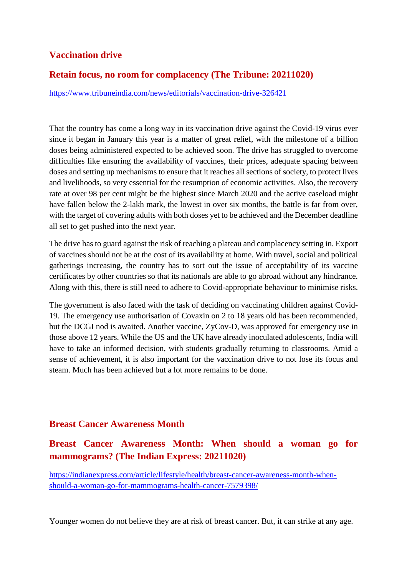#### **Vaccination drive**

#### **Retain focus, no room for complacency (The Tribune: 20211020)**

https://www.tribuneindia.com/news/editorials/vaccination-drive-326421

That the country has come a long way in its vaccination drive against the Covid-19 virus ever since it began in January this year is a matter of great relief, with the milestone of a billion doses being administered expected to be achieved soon. The drive has struggled to overcome difficulties like ensuring the availability of vaccines, their prices, adequate spacing between doses and setting up mechanisms to ensure that it reaches all sections of society, to protect lives and livelihoods, so very essential for the resumption of economic activities. Also, the recovery rate at over 98 per cent might be the highest since March 2020 and the active caseload might have fallen below the 2-lakh mark, the lowest in over six months, the battle is far from over, with the target of covering adults with both doses yet to be achieved and the December deadline all set to get pushed into the next year.

The drive has to guard against the risk of reaching a plateau and complacency setting in. Export of vaccines should not be at the cost of its availability at home. With travel, social and political gatherings increasing, the country has to sort out the issue of acceptability of its vaccine certificates by other countries so that its nationals are able to go abroad without any hindrance. Along with this, there is still need to adhere to Covid-appropriate behaviour to minimise risks.

The government is also faced with the task of deciding on vaccinating children against Covid-19. The emergency use authorisation of Covaxin on 2 to 18 years old has been recommended, but the DCGI nod is awaited. Another vaccine, ZyCov-D, was approved for emergency use in those above 12 years. While the US and the UK have already inoculated adolescents, India will have to take an informed decision, with students gradually returning to classrooms. Amid a sense of achievement, it is also important for the vaccination drive to not lose its focus and steam. Much has been achieved but a lot more remains to be done.

#### **Breast Cancer Awareness Month**

## **Breast Cancer Awareness Month: When should a woman go for mammograms? (The Indian Express: 20211020)**

https://indianexpress.com/article/lifestyle/health/breast-cancer-awareness-month-whenshould-a-woman-go-for-mammograms-health-cancer-7579398/

Younger women do not believe they are at risk of breast cancer. But, it can strike at any age.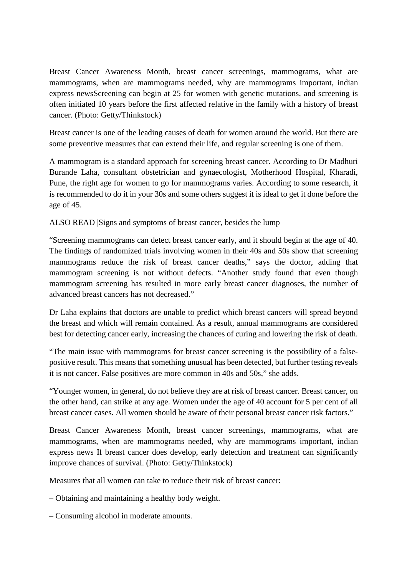Breast Cancer Awareness Month, breast cancer screenings, mammograms, what are mammograms, when are mammograms needed, why are mammograms important, indian express newsScreening can begin at 25 for women with genetic mutations, and screening is often initiated 10 years before the first affected relative in the family with a history of breast cancer. (Photo: Getty/Thinkstock)

Breast cancer is one of the leading causes of death for women around the world. But there are some preventive measures that can extend their life, and regular screening is one of them.

A mammogram is a standard approach for screening breast cancer. According to Dr Madhuri Burande Laha, consultant obstetrician and gynaecologist, Motherhood Hospital, Kharadi, Pune, the right age for women to go for mammograms varies. According to some research, it is recommended to do it in your 30s and some others suggest it is ideal to get it done before the age of 45.

ALSO READ |Signs and symptoms of breast cancer, besides the lump

"Screening mammograms can detect breast cancer early, and it should begin at the age of 40. The findings of randomized trials involving women in their 40s and 50s show that screening mammograms reduce the risk of breast cancer deaths," says the doctor, adding that mammogram screening is not without defects. "Another study found that even though mammogram screening has resulted in more early breast cancer diagnoses, the number of advanced breast cancers has not decreased."

Dr Laha explains that doctors are unable to predict which breast cancers will spread beyond the breast and which will remain contained. As a result, annual mammograms are considered best for detecting cancer early, increasing the chances of curing and lowering the risk of death.

"The main issue with mammograms for breast cancer screening is the possibility of a falsepositive result. This means that something unusual has been detected, but further testing reveals it is not cancer. False positives are more common in 40s and 50s," she adds.

"Younger women, in general, do not believe they are at risk of breast cancer. Breast cancer, on the other hand, can strike at any age. Women under the age of 40 account for 5 per cent of all breast cancer cases. All women should be aware of their personal breast cancer risk factors."

Breast Cancer Awareness Month, breast cancer screenings, mammograms, what are mammograms, when are mammograms needed, why are mammograms important, indian express news If breast cancer does develop, early detection and treatment can significantly improve chances of survival. (Photo: Getty/Thinkstock)

Measures that all women can take to reduce their risk of breast cancer:

- Obtaining and maintaining a healthy body weight.
- Consuming alcohol in moderate amounts.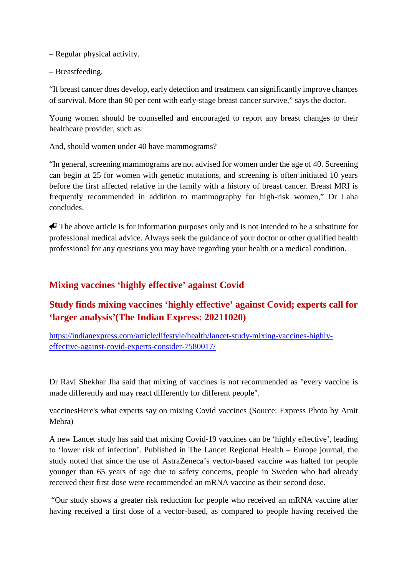– Regular physical activity.

– Breastfeeding.

"If breast cancer does develop, early detection and treatment can significantly improve chances of survival. More than 90 per cent with early-stage breast cancer survive," says the doctor.

Young women should be counselled and encouraged to report any breast changes to their healthcare provider, such as:

And, should women under 40 have mammograms?

"In general, screening mammograms are not advised for women under the age of 40. Screening can begin at 25 for women with genetic mutations, and screening is often initiated 10 years before the first affected relative in the family with a history of breast cancer. Breast MRI is frequently recommended in addition to mammography for high-risk women," Dr Laha concludes.

 $\bigotimes$  The above article is for information purposes only and is not intended to be a substitute for professional medical advice. Always seek the guidance of your doctor or other qualified health professional for any questions you may have regarding your health or a medical condition.

#### **Mixing vaccines 'highly effective' against Covid**

## **Study finds mixing vaccines 'highly effective' against Covid; experts call for 'larger analysis'(The Indian Express: 20211020)**

https://indianexpress.com/article/lifestyle/health/lancet-study-mixing-vaccines-highlyeffective-against-covid-experts-consider-7580017/

Dr Ravi Shekhar Jha said that mixing of vaccines is not recommended as "every vaccine is made differently and may react differently for different people".

vaccinesHere's what experts say on mixing Covid vaccines (Source: Express Photo by Amit Mehra)

A new Lancet study has said that mixing Covid-19 vaccines can be 'highly effective', leading to 'lower risk of infection'. Published in The Lancet Regional Health – Europe journal, the study noted that since the use of AstraZeneca's vector-based vaccine was halted for people younger than 65 years of age due to safety concerns, people in Sweden who had already received their first dose were recommended an mRNA vaccine as their second dose.

"Our study shows a greater risk reduction for people who received an mRNA vaccine after having received a first dose of a vector-based, as compared to people having received the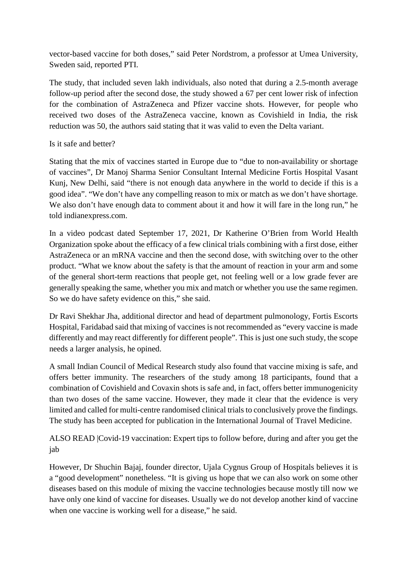vector-based vaccine for both doses," said Peter Nordstrom, a professor at Umea University, Sweden said, reported PTI.

The study, that included seven lakh individuals, also noted that during a 2.5-month average follow-up period after the second dose, the study showed a 67 per cent lower risk of infection for the combination of AstraZeneca and Pfizer vaccine shots. However, for people who received two doses of the AstraZeneca vaccine, known as Covishield in India, the risk reduction was 50, the authors said stating that it was valid to even the Delta variant.

#### Is it safe and better?

Stating that the mix of vaccines started in Europe due to "due to non-availability or shortage of vaccines", Dr Manoj Sharma Senior Consultant Internal Medicine Fortis Hospital Vasant Kunj, New Delhi, said "there is not enough data anywhere in the world to decide if this is a good idea". "We don't have any compelling reason to mix or match as we don't have shortage. We also don't have enough data to comment about it and how it will fare in the long run," he told indianexpress.com.

In a video podcast dated September 17, 2021, Dr Katherine O'Brien from World Health Organization spoke about the efficacy of a few clinical trials combining with a first dose, either AstraZeneca or an mRNA vaccine and then the second dose, with switching over to the other product. "What we know about the safety is that the amount of reaction in your arm and some of the general short-term reactions that people get, not feeling well or a low grade fever are generally speaking the same, whether you mix and match or whether you use the same regimen. So we do have safety evidence on this," she said.

Dr Ravi Shekhar Jha, additional director and head of department pulmonology, Fortis Escorts Hospital, Faridabad said that mixing of vaccines is not recommended as "every vaccine is made differently and may react differently for different people". This is just one such study, the scope needs a larger analysis, he opined.

A small Indian Council of Medical Research study also found that vaccine mixing is safe, and offers better immunity. The researchers of the study among 18 participants, found that a combination of Covishield and Covaxin shots is safe and, in fact, offers better immunogenicity than two doses of the same vaccine. However, they made it clear that the evidence is very limited and called for multi-centre randomised clinical trials to conclusively prove the findings. The study has been accepted for publication in the International Journal of Travel Medicine.

ALSO READ |Covid-19 vaccination: Expert tips to follow before, during and after you get the jab

However, Dr Shuchin Bajaj, founder director, Ujala Cygnus Group of Hospitals believes it is a "good development" nonetheless. "It is giving us hope that we can also work on some other diseases based on this module of mixing the vaccine technologies because mostly till now we have only one kind of vaccine for diseases. Usually we do not develop another kind of vaccine when one vaccine is working well for a disease," he said.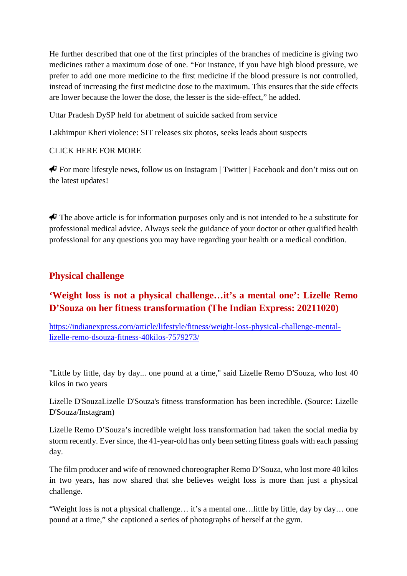He further described that one of the first principles of the branches of medicine is giving two medicines rather a maximum dose of one. "For instance, if you have high blood pressure, we prefer to add one more medicine to the first medicine if the blood pressure is not controlled, instead of increasing the first medicine dose to the maximum. This ensures that the side effects are lower because the lower the dose, the lesser is the side-effect," he added.

Uttar Pradesh DySP held for abetment of suicide sacked from service

Lakhimpur Kheri violence: SIT releases six photos, seeks leads about suspects

#### CLICK HERE FOR MORE

 For more lifestyle news, follow us on Instagram | Twitter | Facebook and don't miss out on the latest updates!

 $\bigotimes$  The above article is for information purposes only and is not intended to be a substitute for professional medical advice. Always seek the guidance of your doctor or other qualified health professional for any questions you may have regarding your health or a medical condition.

## **Physical challenge**

# **'Weight loss is not a physical challenge…it's a mental one': Lizelle Remo D'Souza on her fitness transformation (The Indian Express: 20211020)**

https://indianexpress.com/article/lifestyle/fitness/weight-loss-physical-challenge-mentallizelle-remo-dsouza-fitness-40kilos-7579273/

"Little by little, day by day... one pound at a time," said Lizelle Remo D'Souza, who lost 40 kilos in two years

Lizelle D'SouzaLizelle D'Souza's fitness transformation has been incredible. (Source: Lizelle D'Souza/Instagram)

Lizelle Remo D'Souza's incredible weight loss transformation had taken the social media by storm recently. Ever since, the 41-year-old has only been setting fitness goals with each passing day.

The film producer and wife of renowned choreographer Remo D'Souza, who lost more 40 kilos in two years, has now shared that she believes weight loss is more than just a physical challenge.

"Weight loss is not a physical challenge… it's a mental one…little by little, day by day… one pound at a time," she captioned a series of photographs of herself at the gym.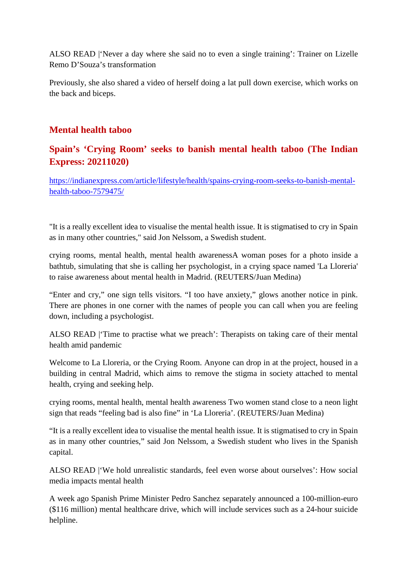ALSO READ |'Never a day where she said no to even a single training': Trainer on Lizelle Remo D'Souza's transformation

Previously, she also shared a video of herself doing a lat pull down exercise, which works on the back and biceps.

#### **Mental health taboo**

## **Spain's 'Crying Room' seeks to banish mental health taboo (The Indian Express: 20211020)**

https://indianexpress.com/article/lifestyle/health/spains-crying-room-seeks-to-banish-mentalhealth-taboo-7579475/

"It is a really excellent idea to visualise the mental health issue. It is stigmatised to cry in Spain as in many other countries," said Jon Nelssom, a Swedish student.

crying rooms, mental health, mental health awarenessA woman poses for a photo inside a bathtub, simulating that she is calling her psychologist, in a crying space named 'La Lloreria' to raise awareness about mental health in Madrid. (REUTERS/Juan Medina)

"Enter and cry," one sign tells visitors. "I too have anxiety," glows another notice in pink. There are phones in one corner with the names of people you can call when you are feeling down, including a psychologist.

ALSO READ |'Time to practise what we preach': Therapists on taking care of their mental health amid pandemic

Welcome to La Lloreria, or the Crying Room. Anyone can drop in at the project, housed in a building in central Madrid, which aims to remove the stigma in society attached to mental health, crying and seeking help.

crying rooms, mental health, mental health awareness Two women stand close to a neon light sign that reads "feeling bad is also fine" in 'La Lloreria'. (REUTERS/Juan Medina)

"It is a really excellent idea to visualise the mental health issue. It is stigmatised to cry in Spain as in many other countries," said Jon Nelssom, a Swedish student who lives in the Spanish capital.

ALSO READ |'We hold unrealistic standards, feel even worse about ourselves': How social media impacts mental health

A week ago Spanish Prime Minister Pedro Sanchez separately announced a 100-million-euro (\$116 million) mental healthcare drive, which will include services such as a 24-hour suicide helpline.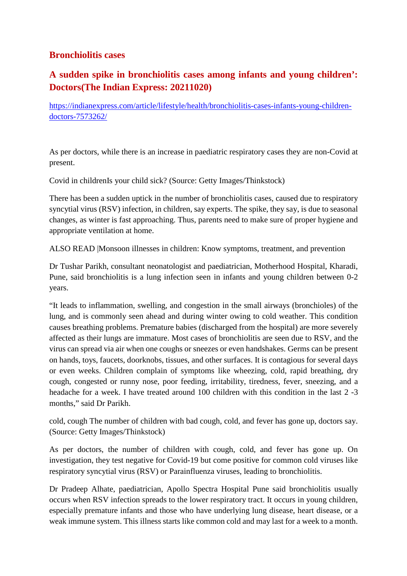#### **Bronchiolitis cases**

## **A sudden spike in bronchiolitis cases among infants and young children': Doctors(The Indian Express: 20211020)**

https://indianexpress.com/article/lifestyle/health/bronchiolitis-cases-infants-young-childrendoctors-7573262/

As per doctors, while there is an increase in paediatric respiratory cases they are non-Covid at present.

Covid in childrenIs your child sick? (Source: Getty Images/Thinkstock)

There has been a sudden uptick in the number of bronchiolitis cases, caused due to respiratory syncytial virus (RSV) infection, in children, say experts. The spike, they say, is due to seasonal changes, as winter is fast approaching. Thus, parents need to make sure of proper hygiene and appropriate ventilation at home.

ALSO READ |Monsoon illnesses in children: Know symptoms, treatment, and prevention

Dr Tushar Parikh, consultant neonatologist and paediatrician, Motherhood Hospital, Kharadi, Pune, said bronchiolitis is a lung infection seen in infants and young children between 0-2 years.

"It leads to inflammation, swelling, and congestion in the small airways (bronchioles) of the lung, and is commonly seen ahead and during winter owing to cold weather. This condition causes breathing problems. Premature babies (discharged from the hospital) are more severely affected as their lungs are immature. Most cases of bronchiolitis are seen due to RSV, and the virus can spread via air when one coughs or sneezes or even handshakes. Germs can be present on hands, toys, faucets, doorknobs, tissues, and other surfaces. It is contagious for several days or even weeks. Children complain of symptoms like wheezing, cold, rapid breathing, dry cough, congested or runny nose, poor feeding, irritability, tiredness, fever, sneezing, and a headache for a week. I have treated around 100 children with this condition in the last 2 -3 months," said Dr Parikh.

cold, cough The number of children with bad cough, cold, and fever has gone up, doctors say. (Source: Getty Images/Thinkstock)

As per doctors, the number of children with cough, cold, and fever has gone up. On investigation, they test negative for Covid-19 but come positive for common cold viruses like respiratory syncytial virus (RSV) or Parainfluenza viruses, leading to bronchiolitis.

Dr Pradeep Alhate, paediatrician, Apollo Spectra Hospital Pune said bronchiolitis usually occurs when RSV infection spreads to the lower respiratory tract. It occurs in young children, especially premature infants and those who have underlying lung disease, heart disease, or a weak immune system. This illness starts like common cold and may last for a week to a month.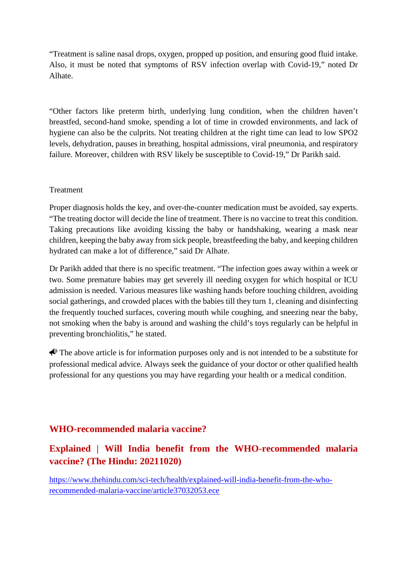"Treatment is saline nasal drops, oxygen, propped up position, and ensuring good fluid intake. Also, it must be noted that symptoms of RSV infection overlap with Covid-19," noted Dr Alhate.

"Other factors like preterm birth, underlying lung condition, when the children haven't breastfed, second-hand smoke, spending a lot of time in crowded environments, and lack of hygiene can also be the culprits. Not treating children at the right time can lead to low SPO2 levels, dehydration, pauses in breathing, hospital admissions, viral pneumonia, and respiratory failure. Moreover, children with RSV likely be susceptible to Covid-19," Dr Parikh said.

#### Treatment

Proper diagnosis holds the key, and over-the-counter medication must be avoided, say experts. "The treating doctor will decide the line of treatment. There is no vaccine to treat this condition. Taking precautions like avoiding kissing the baby or handshaking, wearing a mask near children, keeping the baby away from sick people, breastfeeding the baby, and keeping children hydrated can make a lot of difference," said Dr Alhate.

Dr Parikh added that there is no specific treatment. "The infection goes away within a week or two. Some premature babies may get severely ill needing oxygen for which hospital or ICU admission is needed. Various measures like washing hands before touching children, avoiding social gatherings, and crowded places with the babies till they turn 1, cleaning and disinfecting the frequently touched surfaces, covering mouth while coughing, and sneezing near the baby, not smoking when the baby is around and washing the child's toys regularly can be helpful in preventing bronchiolitis," he stated.

 $\bigotimes$  The above article is for information purposes only and is not intended to be a substitute for professional medical advice. Always seek the guidance of your doctor or other qualified health professional for any questions you may have regarding your health or a medical condition.

#### **WHO-recommended malaria vaccine?**

## **Explained | Will India benefit from the WHO-recommended malaria vaccine? (The Hindu: 20211020)**

https://www.thehindu.com/sci-tech/health/explained-will-india-benefit-from-the-whorecommended-malaria-vaccine/article37032053.ece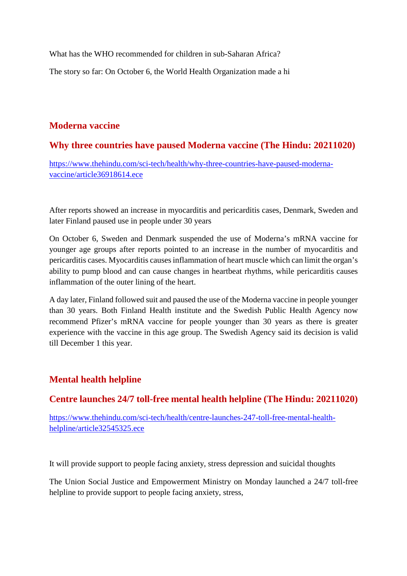What has the WHO recommended for children in sub-Saharan Africa?

The story so far: On October 6, the World Health Organization made a hi

#### **Moderna vaccine**

#### **Why three countries have paused Moderna vaccine (The Hindu: 20211020)**

https://www.thehindu.com/sci-tech/health/why-three-countries-have-paused-modernavaccine/article36918614.ece

After reports showed an increase in myocarditis and pericarditis cases, Denmark, Sweden and later Finland paused use in people under 30 years

On October 6, Sweden and Denmark suspended the use of Moderna's mRNA vaccine for younger age groups after reports pointed to an increase in the number of myocarditis and pericarditis cases. Myocarditis causes inflammation of heart muscle which can limit the organ's ability to pump blood and can cause changes in heartbeat rhythms, while pericarditis causes inflammation of the outer lining of the heart.

A day later, Finland followed suit and paused the use of the Moderna vaccine in people younger than 30 years. Both Finland Health institute and the Swedish Public Health Agency now recommend Pfizer's mRNA vaccine for people younger than 30 years as there is greater experience with the vaccine in this age group. The Swedish Agency said its decision is valid till December 1 this year.

#### **Mental health helpline**

#### **Centre launches 24/7 toll-free mental health helpline (The Hindu: 20211020)**

https://www.thehindu.com/sci-tech/health/centre-launches-247-toll-free-mental-healthhelpline/article32545325.ece

It will provide support to people facing anxiety, stress depression and suicidal thoughts

The Union Social Justice and Empowerment Ministry on Monday launched a 24/7 toll-free helpline to provide support to people facing anxiety, stress,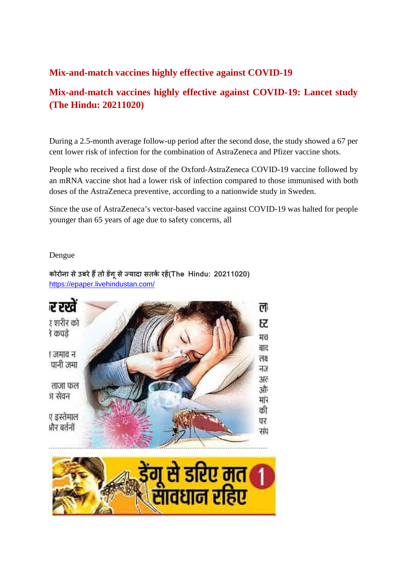## **Mix-and-match vaccines highly effective against COVID-19**

## **Mix-and-match vaccines highly effective against COVID-19: Lancet study (The Hindu: 20211020)**

During a 2.5-month average follow-up period after the second dose, the study showed a 67 per cent lower risk of infection for the combination of AstraZeneca and Pfizer vaccine shots.

People who received a first dose of the Oxford-AstraZeneca COVID-19 vaccine followed by an mRNA vaccine shot had a lower risk of infection compared to those immunised with both doses of the AstraZeneca preventive, according to a nationwide study in Sweden.

Since the use of AstraZeneca's vector-based vaccine against COVID-19 was halted for people younger than 65 years of age due to safety concerns, all

#### Dengue

**कोरोना सेउबरेहतो डगूसेयादा सतकरह(The Hindu: 20211020)** https://epaper.livehindustan.com/